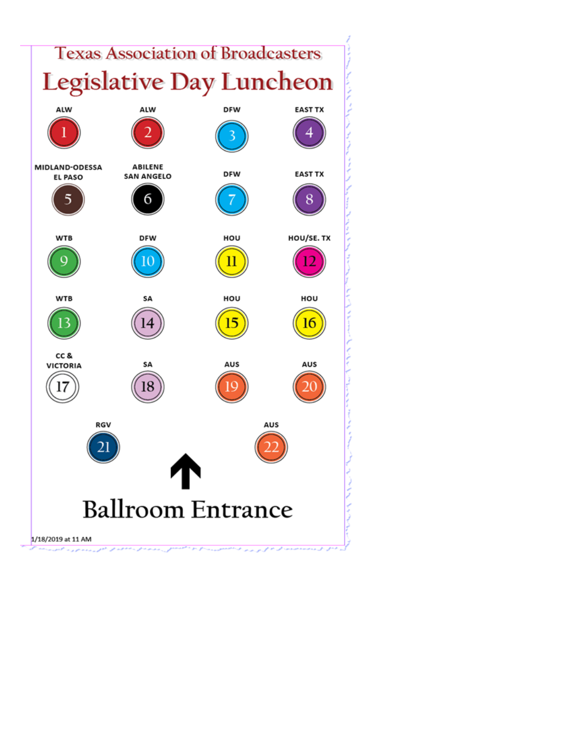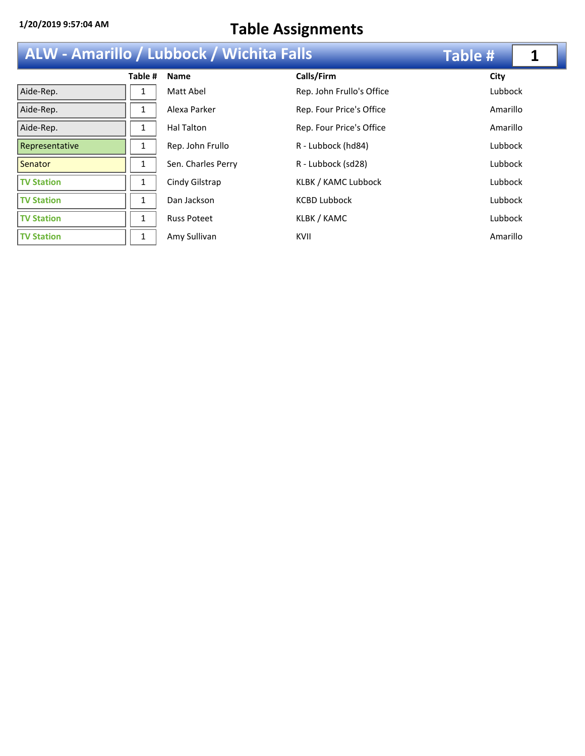| ALW - Amarillo / Lubbock / Wichita Falls |              | <b>Table #</b>     |                           |          |
|------------------------------------------|--------------|--------------------|---------------------------|----------|
|                                          | Table #      | <b>Name</b>        | Calls/Firm                | City     |
| Aide-Rep.                                | 1            | Matt Abel          | Rep. John Frullo's Office | Lubbock  |
| Aide-Rep.                                |              | Alexa Parker       | Rep. Four Price's Office  | Amarillo |
| Aide-Rep.                                | 1            | Hal Talton         | Rep. Four Price's Office  | Amarillo |
| Representative                           | $\mathbf{1}$ | Rep. John Frullo   | R - Lubbock (hd84)        | Lubbock  |
| Senator                                  | 1            | Sen. Charles Perry | R - Lubbock (sd28)        | Lubbock  |
| <b>TV Station</b>                        | 1            | Cindy Gilstrap     | KLBK / KAMC Lubbock       | Lubbock  |
| <b>TV Station</b>                        | $\mathbf{1}$ | Dan Jackson        | <b>KCBD Lubbock</b>       | Lubbock  |
| <b>TV Station</b>                        |              | <b>Russ Poteet</b> | KLBK / KAMC               | Lubbock  |
| <b>TV Station</b>                        | 1            | Amy Sullivan       | KVII                      | Amarillo |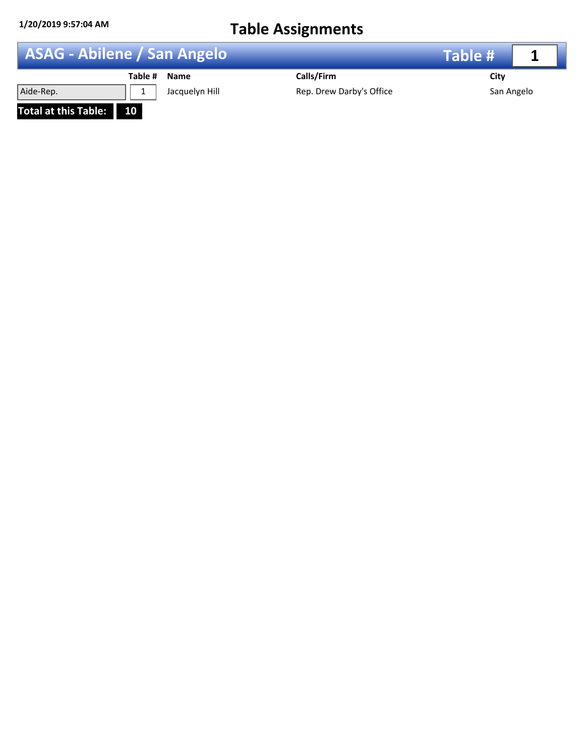|                      | <b>ASAG - Abilene / San Angelo</b> |                          |            |  |
|----------------------|------------------------------------|--------------------------|------------|--|
|                      | Table #<br><b>Name</b>             | Calls/Firm               | City       |  |
| Aide-Rep.            | Jacquelyn Hill                     | Rep. Drew Darby's Office | San Angelo |  |
| Total at this Table: | <b>10</b>                          |                          |            |  |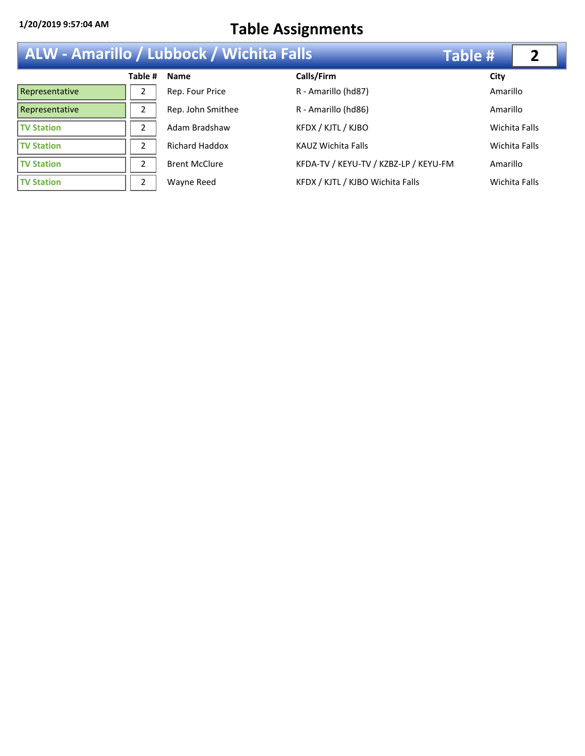| <b>ALW - Amarillo / Lubbock / Wichita Falls</b> |               |                       |                                       | Table #  |                      |
|-------------------------------------------------|---------------|-----------------------|---------------------------------------|----------|----------------------|
|                                                 | Table #       | <b>Name</b>           | Calls/Firm                            | City     |                      |
| Representative                                  | 2             | Rep. Four Price       | R - Amarillo (hd87)                   | Amarillo |                      |
| Representative                                  | 2             | Rep. John Smithee     | R - Amarillo (hd86)                   | Amarillo |                      |
| <b>TV Station</b>                               | $\mathcal{P}$ | Adam Bradshaw         | KFDX / KJTL / KJBO                    |          | <b>Wichita Falls</b> |
| <b>TV Station</b>                               | 2             | <b>Richard Haddox</b> | <b>KAUZ Wichita Falls</b>             |          | Wichita Falls        |
| <b>TV Station</b>                               | 2             | <b>Brent McClure</b>  | KFDA-TV / KEYU-TV / KZBZ-LP / KEYU-FM | Amarillo |                      |
| <b>TV Station</b>                               | 2             | Wayne Reed            | KFDX / KJTL / KJBO Wichita Falls      |          | Wichita Falls        |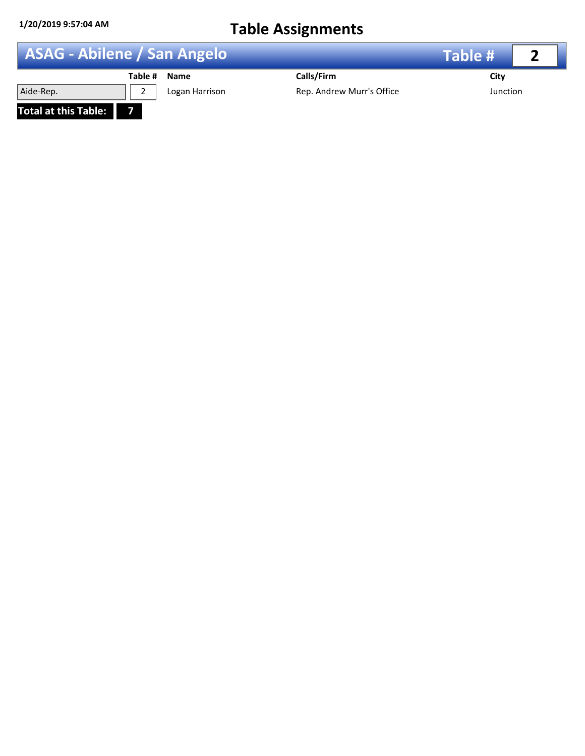**Total at this Table: 7**

| <b>ASAG - Abilene / San Angelo</b> |              |                | Table #                   |          |  |
|------------------------------------|--------------|----------------|---------------------------|----------|--|
|                                    | Table # Name |                | Calls/Firm                | City     |  |
| Aide-Rep.                          |              | Logan Harrison | Rep. Andrew Murr's Office | Junction |  |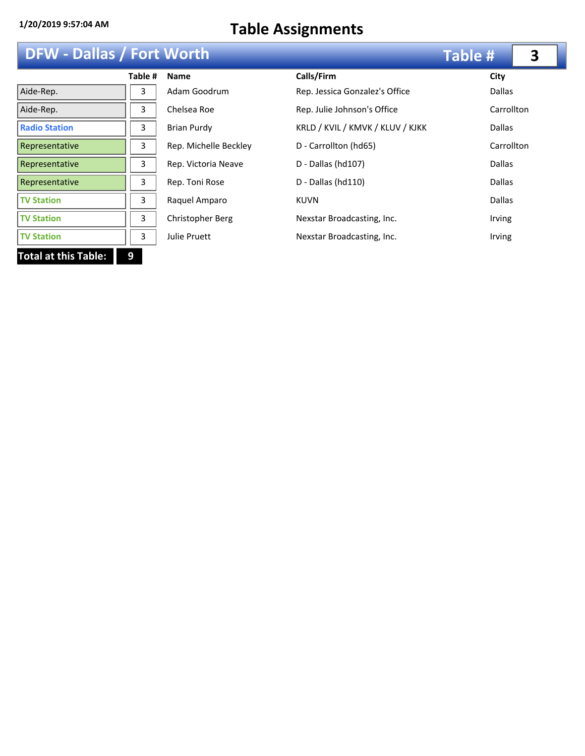## **DFW - Dallas / Fort Worth**

| <b>DFW - Dallas / Fort Worth</b> | <b>Table #</b> | 3                     |                                  |               |  |
|----------------------------------|----------------|-----------------------|----------------------------------|---------------|--|
|                                  | Table #        | <b>Name</b>           | Calls/Firm                       | City          |  |
| Aide-Rep.                        | 3              | Adam Goodrum          | Rep. Jessica Gonzalez's Office   | <b>Dallas</b> |  |
| Aide-Rep.                        | 3              | Chelsea Roe           | Rep. Julie Johnson's Office      | Carrollton    |  |
| <b>Radio Station</b>             | 3              | <b>Brian Purdy</b>    | KRLD / KVIL / KMVK / KLUV / KJKK | <b>Dallas</b> |  |
| Representative                   | 3              | Rep. Michelle Beckley | D - Carrollton (hd65)            | Carrollton    |  |
| Representative                   | 3              | Rep. Victoria Neave   | D - Dallas (hd107)               | <b>Dallas</b> |  |
| Representative                   | 3              | Rep. Toni Rose        | $D -$ Dallas (hd $110$ )         | <b>Dallas</b> |  |
| <b>TV Station</b>                | 3              | Raquel Amparo         | <b>KUVN</b>                      | <b>Dallas</b> |  |
| <b>TV Station</b>                | 3              | Christopher Berg      | Nexstar Broadcasting, Inc.       | <b>Irving</b> |  |
| <b>TV Station</b>                | 3              | <b>Julie Pruett</b>   | Nexstar Broadcasting, Inc.       | Irving        |  |
| <b>Total at this Table:</b>      | 9              |                       |                                  |               |  |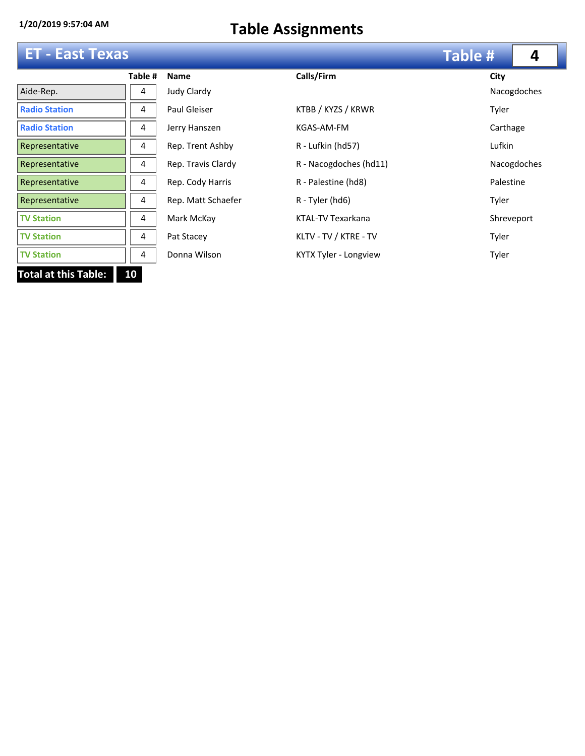|                                   | <b>ET - East Texas</b> |                    |                        |            |             |  |
|-----------------------------------|------------------------|--------------------|------------------------|------------|-------------|--|
|                                   | Table #                | <b>Name</b>        | Calls/Firm             | City       |             |  |
| Aide-Rep.                         | 4                      | Judy Clardy        |                        |            | Nacogdoches |  |
| <b>Radio Station</b>              | 4                      | Paul Gleiser       | KTBB / KYZS / KRWR     | Tyler      |             |  |
| <b>Radio Station</b>              | 4                      | Jerry Hanszen      | KGAS-AM-FM             | Carthage   |             |  |
| Representative                    | 4                      | Rep. Trent Ashby   | R - Lufkin (hd57)      | Lufkin     |             |  |
| Representative                    | 4                      | Rep. Travis Clardy | R - Nacogdoches (hd11) |            | Nacogdoches |  |
| Representative                    | 4                      | Rep. Cody Harris   | R - Palestine (hd8)    | Palestine  |             |  |
| Representative                    | 4                      | Rep. Matt Schaefer | R - Tyler (hd6)        | Tyler      |             |  |
| <b>TV Station</b>                 | 4                      | Mark McKay         | KTAL-TV Texarkana      | Shreveport |             |  |
| <b>TV Station</b>                 | 4                      | Pat Stacey         | KLTV - TV / KTRE - TV  | Tyler      |             |  |
| <b>TV Station</b>                 | 4                      | Donna Wilson       | KYTX Tyler - Longview  | Tyler      |             |  |
| <b>Total at this Table:</b><br>10 |                        |                    |                        |            |             |  |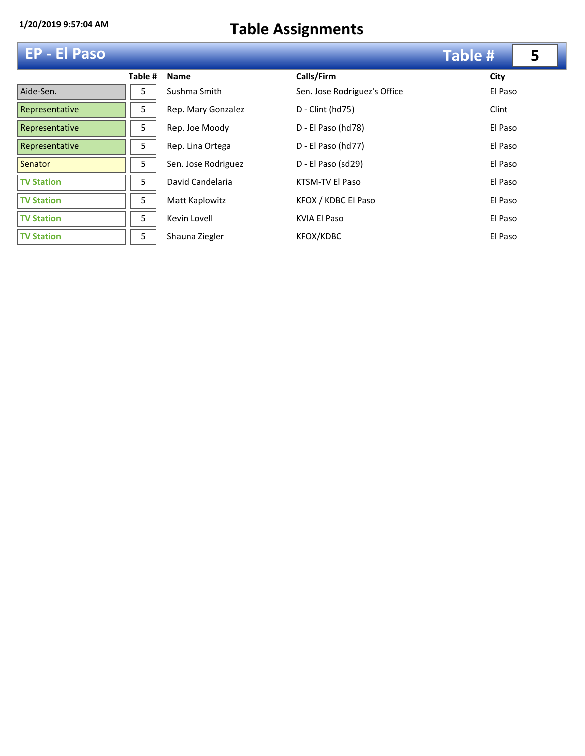|  | <b>EP - El Paso</b> |
|--|---------------------|
|--|---------------------|

|                   | Table # | <b>Name</b>         | Calls/Firm          |
|-------------------|---------|---------------------|---------------------|
| Aide-Sen.         | 5       | Sushma Smith        | Sen. Jose Ro        |
| Representative    | 5       | Rep. Mary Gonzalez  | D - Clint (hd       |
| Representative    | 5       | Rep. Joe Moody      | D - El Paso (       |
| Representative    | 5.      | Rep. Lina Ortega    | D - El Paso (       |
| Senator           | 5       | Sen. Jose Rodriguez | D - El Paso (       |
| <b>TV Station</b> | 5       | David Candelaria    | <b>KTSM-TV EI</b>   |
| <b>TV Station</b> | 5       | Matt Kaplowitz      | KFOX / KDB          |
| <b>TV Station</b> | 5       | Kevin Lovell        | <b>KVIA El Paso</b> |
| <b>TV Station</b> | 5       | Shauna Ziegler      | <b>KFOX/KDBC</b>    |

| <b>EP - El Paso</b> |         |                     |                              | <b>Table #</b> | 5 |
|---------------------|---------|---------------------|------------------------------|----------------|---|
|                     | Table # | <b>Name</b>         | Calls/Firm                   | City           |   |
| Aide-Sen.           | 5       | Sushma Smith        | Sen. Jose Rodriguez's Office | El Paso        |   |
| Representative      | 5       | Rep. Mary Gonzalez  | D - Clint (hd75)             | Clint          |   |
| Representative      | 5       | Rep. Joe Moody      | D - El Paso (hd78)           | El Paso        |   |
| Representative      | 5       | Rep. Lina Ortega    | D - El Paso (hd77)           | El Paso        |   |
| <b>Senator</b>      | 5       | Sen. Jose Rodriguez | D - El Paso (sd29)           | El Paso        |   |
| <b>TV Station</b>   | 5       | David Candelaria    | KTSM-TV El Paso              | El Paso        |   |
| <b>TV Station</b>   | 5       | Matt Kaplowitz      | KFOX / KDBC El Paso          | El Paso        |   |
| <b>TV Station</b>   | 5       | Kevin Lovell        | KVIA El Paso                 | El Paso        |   |
| <b>TV Station</b>   | 5       | Shauna Ziegler      | KFOX/KDBC                    | El Paso        |   |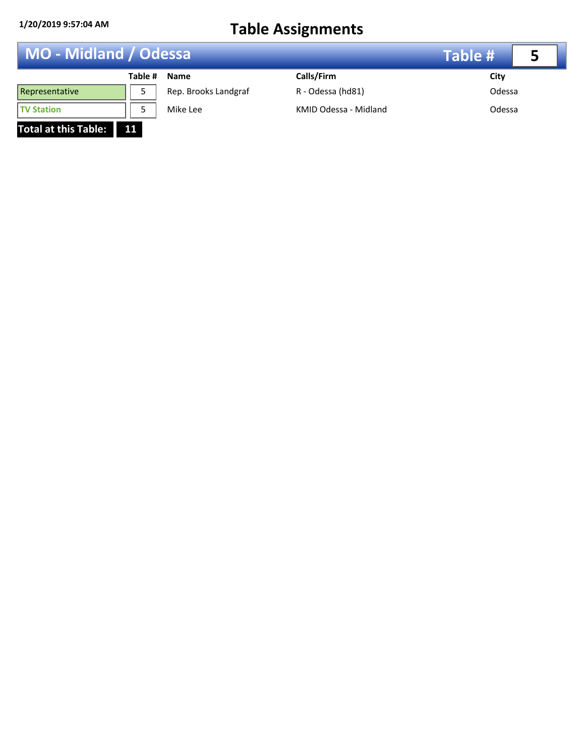**Total at this Table: 11**

| MO - Midland / Odessa |         |                      | <b>Table #</b>        |        |  |
|-----------------------|---------|----------------------|-----------------------|--------|--|
|                       | Table # | <b>Name</b>          | Calls/Firm            | City   |  |
| Representative        |         | Rep. Brooks Landgraf | R - Odessa (hd81)     | Odessa |  |
| <b>TV Station</b>     |         | Mike Lee             | KMID Odessa - Midland | Odessa |  |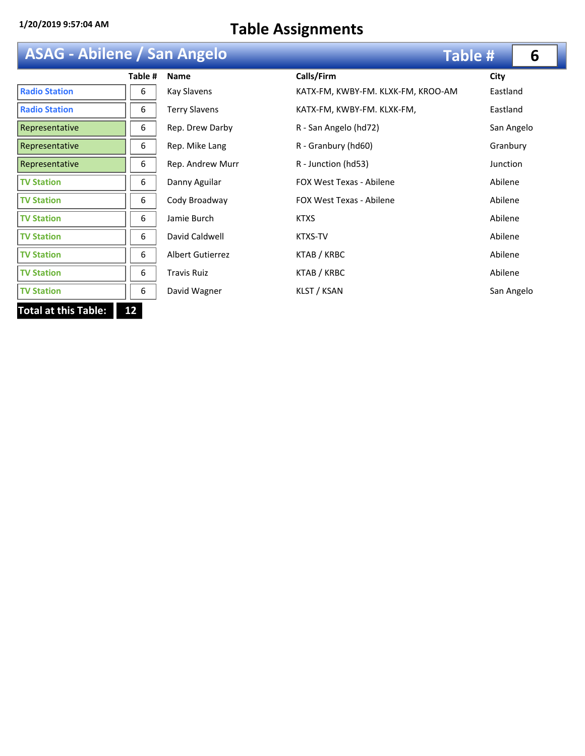| <b>ASAG - Abilene / San Angelo</b> |  |
|------------------------------------|--|
|------------------------------------|--|

| <b>ASAG - Abilene / San Angelo</b> |         |                         |                                    | Table # | 6          |
|------------------------------------|---------|-------------------------|------------------------------------|---------|------------|
|                                    | Table # | <b>Name</b>             | Calls/Firm                         | City    |            |
| <b>Radio Station</b>               | 6       | Kay Slavens             | KATX-FM, KWBY-FM. KLXK-FM, KROO-AM |         | Eastland   |
| <b>Radio Station</b>               | 6       | <b>Terry Slavens</b>    | KATX-FM, KWBY-FM. KLXK-FM,         |         | Eastland   |
| Representative                     | 6       | Rep. Drew Darby         | R - San Angelo (hd72)              |         | San Angelo |
| Representative                     | 6       | Rep. Mike Lang          | R - Granbury (hd60)                |         | Granbury   |
| Representative                     | 6       | Rep. Andrew Murr        | R - Junction (hd53)                |         | Junction   |
| <b>TV Station</b>                  | 6       | Danny Aguilar           | <b>FOX West Texas - Abilene</b>    | Abilene |            |
| <b>TV Station</b>                  | 6       | Cody Broadway           | <b>FOX West Texas - Abilene</b>    | Abilene |            |
| <b>TV Station</b>                  | 6       | Jamie Burch             | <b>KTXS</b>                        | Abilene |            |
| <b>TV Station</b>                  | 6       | David Caldwell          | <b>KTXS-TV</b>                     | Abilene |            |
| <b>TV Station</b>                  | 6       | <b>Albert Gutierrez</b> | KTAB / KRBC                        | Abilene |            |
| <b>TV Station</b>                  | 6       | <b>Travis Ruiz</b>      | KTAB / KRBC                        | Abilene |            |
| <b>TV Station</b>                  | 6       | David Wagner            | KLST / KSAN                        |         | San Angelo |
| <b>Total at this Table:</b>        | 12      |                         |                                    |         |            |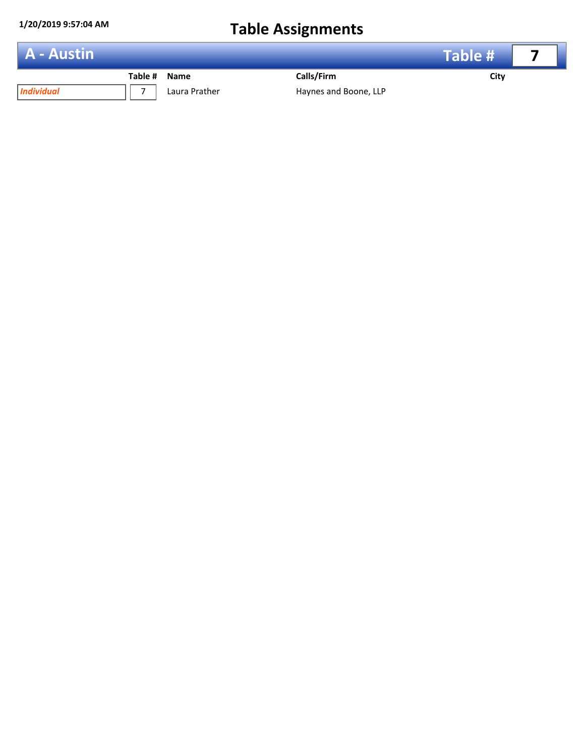

*Individual* 7 Laura Prather Haynes and Boone, LLP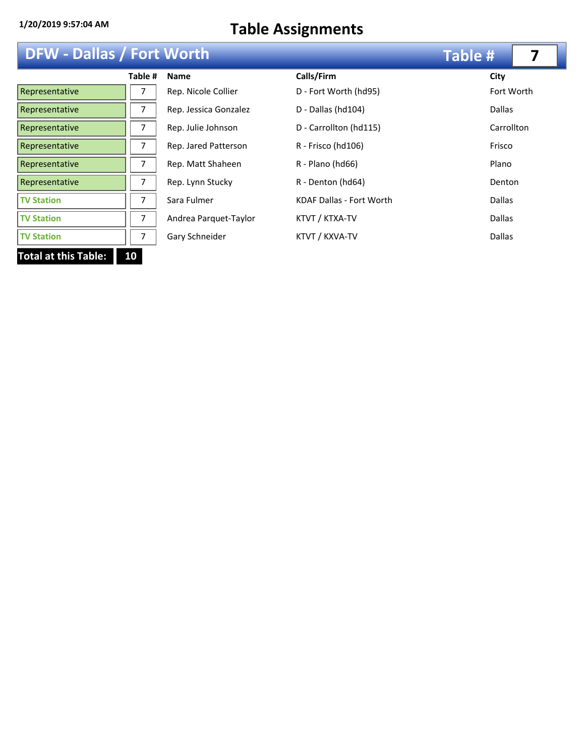| <b>DFW - Dallas / Fort Worth</b> |  |
|----------------------------------|--|
|----------------------------------|--|

| <b>DFW - Dallas / Fort Worth</b> |         |                       |                                 | <b>Table #</b> |            |
|----------------------------------|---------|-----------------------|---------------------------------|----------------|------------|
|                                  | Table # | <b>Name</b>           | Calls/Firm                      | City           |            |
| Representative                   |         | Rep. Nicole Collier   | D - Fort Worth (hd95)           |                | Fort Worth |
| Representative                   | 7       | Rep. Jessica Gonzalez | D - Dallas (hd104)              | <b>Dallas</b>  |            |
| Representative                   | 7       | Rep. Julie Johnson    | D - Carrollton (hd115)          | Carrollton     |            |
| Representative                   | 7       | Rep. Jared Patterson  | R - Frisco (hd106)              | Frisco         |            |
| Representative                   | 7       | Rep. Matt Shaheen     | R - Plano (hd66)                | Plano          |            |
| Representative                   | 7       | Rep. Lynn Stucky      | R - Denton (hd64)               | Denton         |            |
| <b>TV Station</b>                | 7       | Sara Fulmer           | <b>KDAF Dallas - Fort Worth</b> | <b>Dallas</b>  |            |
| <b>TV Station</b>                | 7       | Andrea Parquet-Taylor | KTVT / KTXA-TV                  | <b>Dallas</b>  |            |
| <b>TV Station</b>                |         | Gary Schneider        | KTVT / KXVA-TV                  | <b>Dallas</b>  |            |
| <b>Total at this Table:</b>      | 10      |                       |                                 |                |            |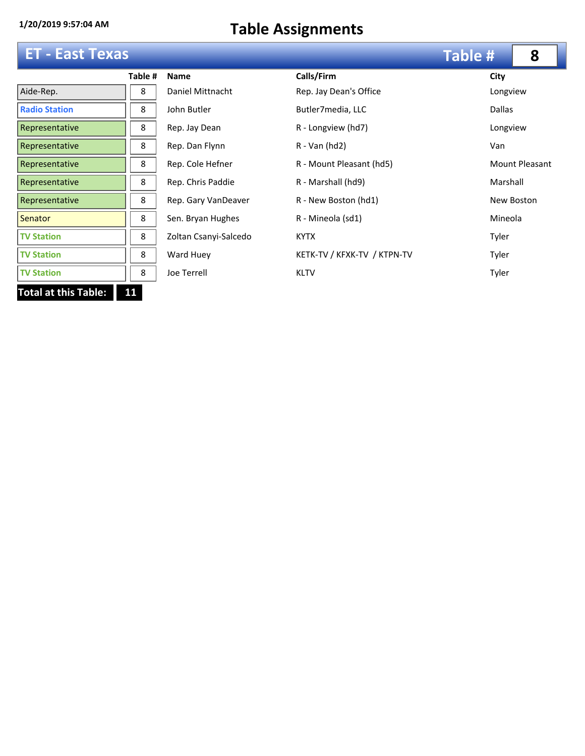### **ET - East Texas**

|                             | Table # | <b>Name</b>           | Calls       |
|-----------------------------|---------|-----------------------|-------------|
| Aide-Rep.                   | 8       | Daniel Mittnacht      | Rep.        |
| <b>Radio Station</b>        | 8       | John Butler           | Butle       |
| Representative              | 8       | Rep. Jay Dean         | $R - L$     |
| Representative              | 8       | Rep. Dan Flynn        | $R - V_i$   |
| Representative              | 8       | Rep. Cole Hefner      | $R - N$     |
| Representative              | 8       | Rep. Chris Paddie     | $R - W$     |
| Representative              | 8       | Rep. Gary VanDeaver   | $R - N$     |
| Senator                     | 8       | Sen. Bryan Hughes     | $R - W$     |
| <b>TV Station</b>           | 8       | Zoltan Csanyi-Salcedo | <b>KYTX</b> |
| <b>TV Station</b>           | 8       | Ward Huey             | <b>KETK</b> |
| <b>TV Station</b>           | 8       | Joe Terrell           | <b>KLTV</b> |
| <b>Total at this Table:</b> | 11      |                       |             |

| <b>ET - East Texas</b> |         |                       |                             | <b>Table #</b> | 8                     |
|------------------------|---------|-----------------------|-----------------------------|----------------|-----------------------|
|                        | Table # | <b>Name</b>           | Calls/Firm                  | City           |                       |
| Aide-Rep.              | 8       | Daniel Mittnacht      | Rep. Jay Dean's Office      | Longview       |                       |
| <b>Radio Station</b>   | 8       | John Butler           | Butler7media, LLC           | <b>Dallas</b>  |                       |
| Representative         | 8       | Rep. Jay Dean         | R - Longview (hd7)          | Longview       |                       |
| Representative         | 8       | Rep. Dan Flynn        | $R - Van (hd2)$             | Van            |                       |
| Representative         | 8       | Rep. Cole Hefner      | R - Mount Pleasant (hd5)    |                | <b>Mount Pleasant</b> |
| Representative         | 8       | Rep. Chris Paddie     | R - Marshall (hd9)          | Marshall       |                       |
| Representative         | 8       | Rep. Gary VanDeaver   | R - New Boston (hd1)        |                | New Boston            |
| <b>Senator</b>         | 8       | Sen. Bryan Hughes     | R - Mineola (sd1)           | Mineola        |                       |
| <b>TV Station</b>      | 8       | Zoltan Csanyi-Salcedo | <b>KYTX</b>                 | Tyler          |                       |
| <b>TV Station</b>      | 8       | Ward Huey             | KETK-TV / KFXK-TV / KTPN-TV | Tyler          |                       |
| <b>TV Station</b>      | 8       | Joe Terrell           | <b>KLTV</b>                 | Tyler          |                       |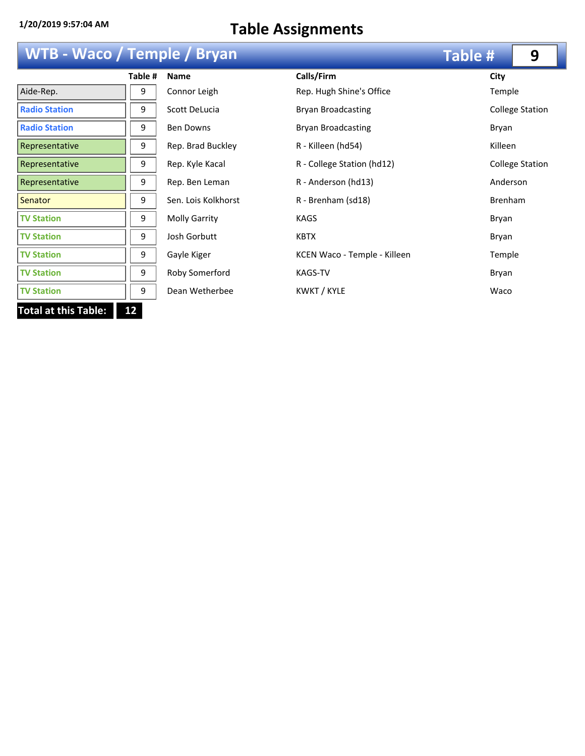# **WTB - Waco / Temple / Bryan**

|                             | Table # | <b>Name</b>          | Calls/Firi     |
|-----------------------------|---------|----------------------|----------------|
| Aide-Rep.                   | 9       | Connor Leigh         | Rep. Hug       |
| <b>Radio Station</b>        | 9       | Scott DeLucia        | Bryan Br       |
| <b>Radio Station</b>        | 9       | <b>Ben Downs</b>     | Bryan Br       |
| Representative              | 9       | Rep. Brad Buckley    | R - Killee     |
| Representative              | 9       | Rep. Kyle Kacal      | R - Colles     |
| Representative              | 9       | Rep. Ben Leman       | R - Ande       |
| <b>Senator</b>              | 9       | Sen. Lois Kolkhorst  | R - Brenh      |
| <b>TV Station</b>           | 9       | <b>Molly Garrity</b> | KAGS           |
| <b>TV Station</b>           | 9       | Josh Gorbutt         | <b>KBTX</b>    |
| <b>TV Station</b>           | 9       | Gayle Kiger          | <b>KCEN Wa</b> |
| <b>TV Station</b>           | 9       | Roby Somerford       | <b>KAGS-TV</b> |
| <b>TV Station</b>           | 9       | Dean Wetherbee       | KWKT/I         |
| <b>Total at this Table:</b> | 12      |                      |                |

|                      |         |                      |                              | .                      |
|----------------------|---------|----------------------|------------------------------|------------------------|
|                      | Table # | Name                 | Calls/Firm                   | City                   |
| Aide-Rep.            | 9       | Connor Leigh         | Rep. Hugh Shine's Office     | Temple                 |
| <b>Radio Station</b> | 9       | Scott DeLucia        | <b>Bryan Broadcasting</b>    | <b>College Station</b> |
| <b>Radio Station</b> | 9       | <b>Ben Downs</b>     | Bryan Broadcasting           | Bryan                  |
| Representative       | 9       | Rep. Brad Buckley    | R - Killeen (hd54)           | Killeen                |
| Representative       | 9       | Rep. Kyle Kacal      | R - College Station (hd12)   | <b>College Station</b> |
| Representative       | 9       | Rep. Ben Leman       | R - Anderson (hd13)          | Anderson               |
| <b>Senator</b>       | 9       | Sen. Lois Kolkhorst  | R - Brenham (sd18)           | <b>Brenham</b>         |
| <b>TV Station</b>    | 9       | <b>Molly Garrity</b> | <b>KAGS</b>                  | Bryan                  |
| <b>TV Station</b>    | 9       | Josh Gorbutt         | <b>KBTX</b>                  | Bryan                  |
| <b>TV Station</b>    | 9       | Gayle Kiger          | KCEN Waco - Temple - Killeen | Temple                 |
| <b>TV Station</b>    | 9       | Roby Somerford       | KAGS-TV                      | Bryan                  |
| <b>TV Station</b>    | 9       | Dean Wetherbee       | KWKT / KYLE                  | Waco                   |

**Table # 9**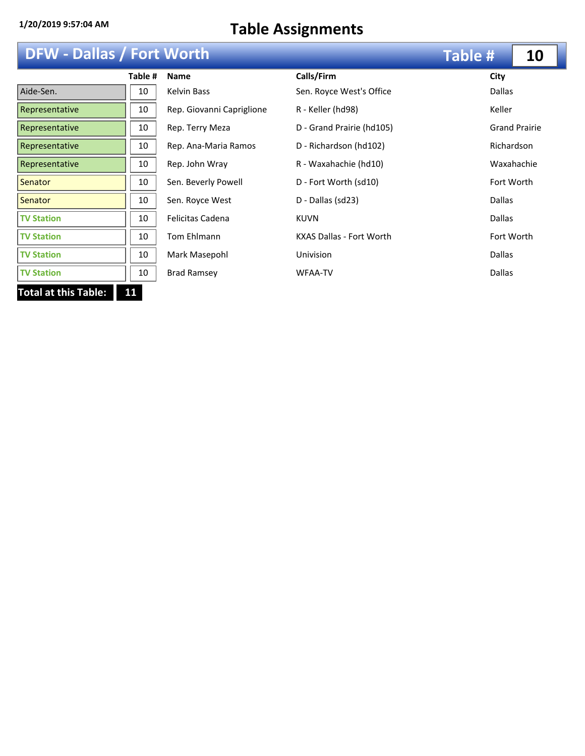## **DFW - Dallas / Fort Worth**

| <b>DFW - Dallas / Fort Worth</b> |         |                           |                                 | <b>Table #</b> | 10                   |
|----------------------------------|---------|---------------------------|---------------------------------|----------------|----------------------|
|                                  | Table # | <b>Name</b>               | Calls/Firm                      | City           |                      |
| Aide-Sen.                        | 10      | Kelvin Bass               | Sen. Royce West's Office        | <b>Dallas</b>  |                      |
| Representative                   | 10      | Rep. Giovanni Capriglione | R - Keller (hd98)               | Keller         |                      |
| Representative                   | 10      | Rep. Terry Meza           | D - Grand Prairie (hd105)       |                | <b>Grand Prairie</b> |
| Representative                   | 10      | Rep. Ana-Maria Ramos      | D - Richardson (hd102)          | Richardson     |                      |
| Representative                   | 10      | Rep. John Wray            | R - Waxahachie (hd10)           |                | Waxahachie           |
| Senator                          | 10      | Sen. Beverly Powell       | D - Fort Worth (sd10)           | Fort Worth     |                      |
| Senator                          | 10      | Sen. Royce West           | D - Dallas (sd23)               | <b>Dallas</b>  |                      |
| <b>TV Station</b>                | 10      | <b>Felicitas Cadena</b>   | <b>KUVN</b>                     | <b>Dallas</b>  |                      |
| <b>TV Station</b>                | 10      | Tom Ehlmann               | <b>KXAS Dallas - Fort Worth</b> | Fort Worth     |                      |
| <b>TV Station</b>                | 10      | Mark Masepohl             | Univision                       | <b>Dallas</b>  |                      |
| <b>TV Station</b>                | 10      | <b>Brad Ramsey</b>        | <b>WFAA-TV</b>                  | <b>Dallas</b>  |                      |
| <b>Total at this Table:</b>      | 11      |                           |                                 |                |                      |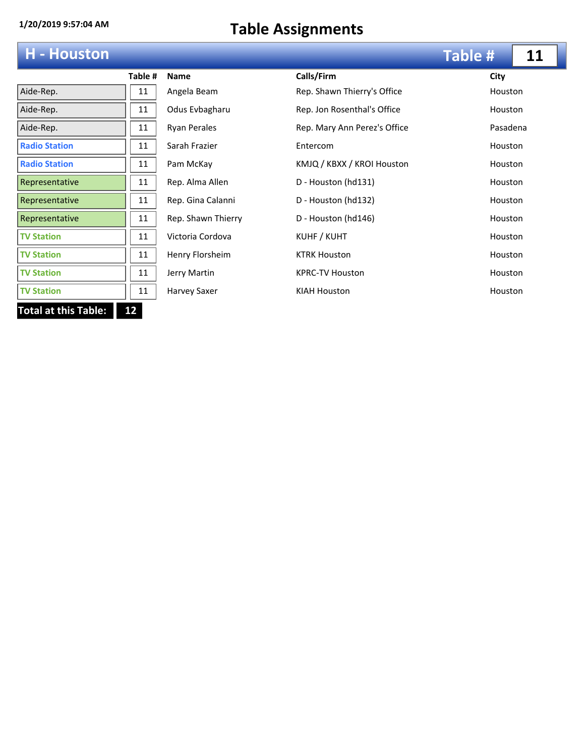### **H - Houston**

|                            | Table # |  |
|----------------------------|---------|--|
| Aide-Rep.                  | 11      |  |
| Aide-Rep.                  | 11      |  |
| Aide-Rep.                  | 11      |  |
| <b>Radio Station</b>       | 11      |  |
| <b>Radio Station</b>       | 11      |  |
| Representative             | 11      |  |
| Representative             | 11      |  |
| Representative             | 11      |  |
| <b>TV Station</b>          | 11      |  |
| <b>TV Station</b>          | 11      |  |
| <b>TV Station</b>          | 11      |  |
| <b>TV Station</b>          | 11      |  |
| Total at this Table:<br>12 |         |  |

|         |                     |                              | Table #        | 11 |
|---------|---------------------|------------------------------|----------------|----|
| Table # | <b>Name</b>         | Calls/Firm                   | City           |    |
| 11      | Angela Beam         | Rep. Shawn Thierry's Office  | <b>Houston</b> |    |
| 11      | Odus Evbagharu      | Rep. Jon Rosenthal's Office  | Houston        |    |
| 11      | <b>Ryan Perales</b> | Rep. Mary Ann Perez's Office | Pasadena       |    |
| 11      | Sarah Frazier       | Entercom                     | Houston        |    |
| 11      | Pam McKay           | KMJQ / KBXX / KROI Houston   | Houston        |    |
| 11      | Rep. Alma Allen     | D - Houston (hd131)          | <b>Houston</b> |    |
| 11      | Rep. Gina Calanni   | D - Houston (hd132)          | Houston        |    |
| 11      | Rep. Shawn Thierry  | D - Houston (hd146)          | <b>Houston</b> |    |
| 11      | Victoria Cordova    | KUHF / KUHT                  | Houston        |    |
| 11      | Henry Florsheim     | <b>KTRK Houston</b>          | Houston        |    |
| 11      | Jerry Martin        | <b>KPRC-TV Houston</b>       | Houston        |    |
| 11      | Harvey Saxer        | <b>KIAH Houston</b>          | Houston        |    |
|         |                     |                              |                |    |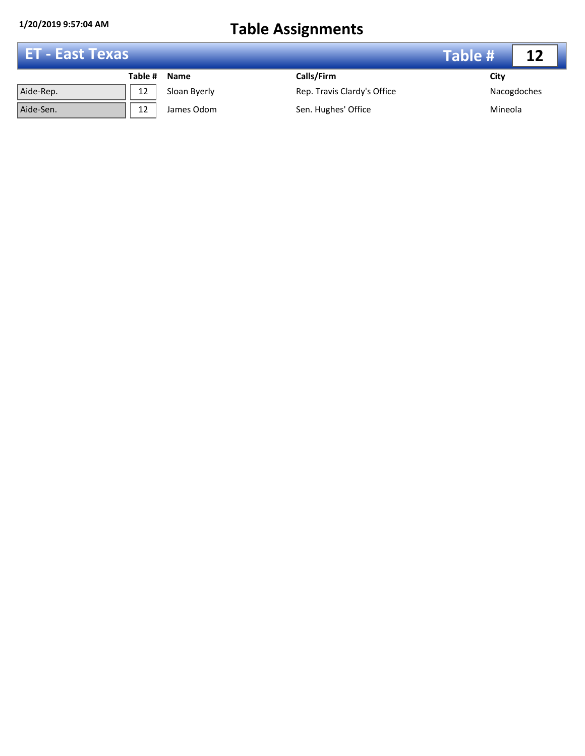| ET - East Texas |         |              |                             | Table # | 12          |
|-----------------|---------|--------------|-----------------------------|---------|-------------|
|                 | Table # | <b>Name</b>  | Calls/Firm                  | City    |             |
| Aide-Rep.       | 12      | Sloan Byerly | Rep. Travis Clardy's Office |         | Nacogdoches |
| Aide-Sen.       | 12      | James Odom   | Sen. Hughes' Office         | Mineola |             |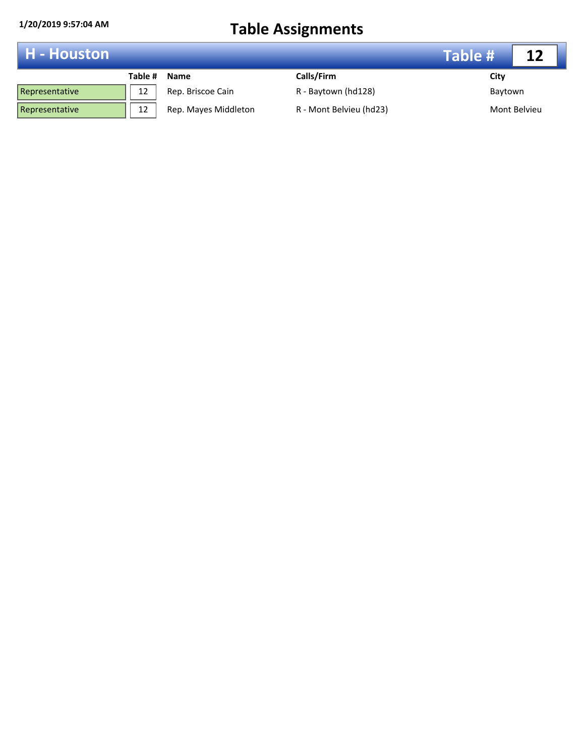| <b>H</b> - Houston |         |                      |                         | Table # |              |
|--------------------|---------|----------------------|-------------------------|---------|--------------|
|                    | Table # | <b>Name</b>          | Calls/Firm              | City    |              |
| Representative     | 12      | Rep. Briscoe Cain    | R - Baytown (hd128)     | Baytown |              |
| Representative     | 12      | Rep. Mayes Middleton | R - Mont Belvieu (hd23) |         | Mont Belvieu |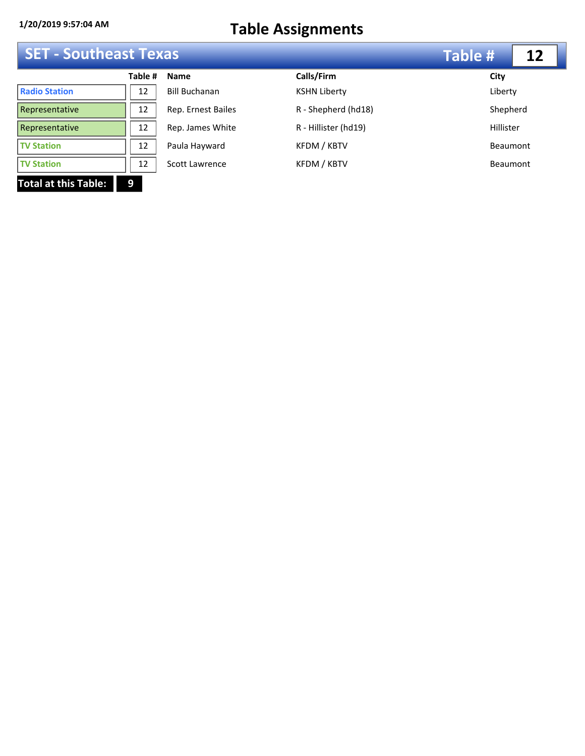|  |  | <b>SET - Southeast Texas</b> |  |
|--|--|------------------------------|--|
|--|--|------------------------------|--|

|                             | <b>SET - Southeast Texas</b> |                      |                      | <b>Table #</b> |  |
|-----------------------------|------------------------------|----------------------|----------------------|----------------|--|
|                             | Table #                      | <b>Name</b>          | Calls/Firm           | City           |  |
| <b>Radio Station</b>        | 12                           | <b>Bill Buchanan</b> | <b>KSHN Liberty</b>  | Liberty        |  |
| Representative              | 12                           | Rep. Ernest Bailes   | R - Shepherd (hd18)  | Shepherd       |  |
| Representative              | 12                           | Rep. James White     | R - Hillister (hd19) | Hillister      |  |
| <b>TV Station</b>           | 12                           | Paula Hayward        | KFDM / KBTV          | Beaumont       |  |
| <b>TV Station</b>           | 12                           | Scott Lawrence       | KFDM / KBTV          | Beaumont       |  |
| <b>Total at this Table:</b> | 9                            |                      |                      |                |  |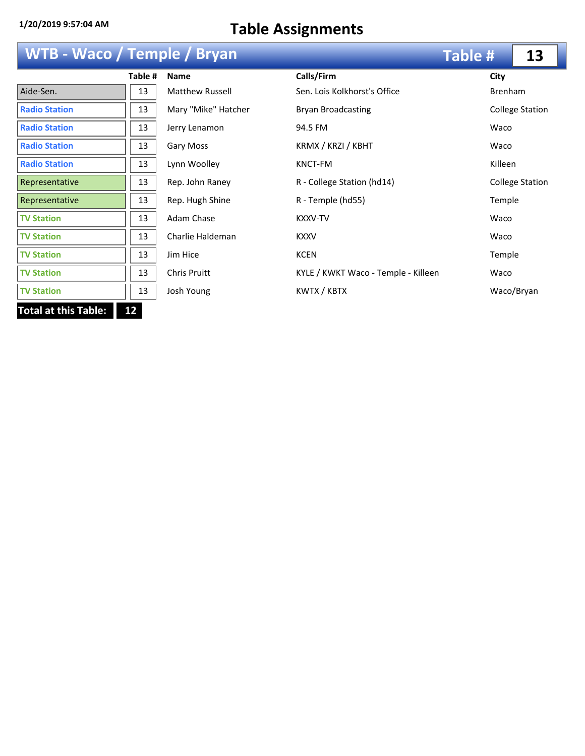## **WTB - Waco / Temple / Bryan**

|                             | Table # | <b>Name</b>            | Calls/       |
|-----------------------------|---------|------------------------|--------------|
| Aide-Sen.                   | 13      | <b>Matthew Russell</b> | Sen. I       |
| <b>Radio Station</b>        | 13      | Mary "Mike" Hatcher    | <b>Bryar</b> |
| <b>Radio Station</b>        | 13      | Jerry Lenamon          | 94.5         |
| <b>Radio Station</b>        | 13      | Gary Moss              | KRM)         |
| <b>Radio Station</b>        | 13      | Lynn Woolley           | <b>KNCT</b>  |
| Representative              | 13      | Rep. John Raney        | R - Co       |
| Representative              | 13      | Rep. Hugh Shine        | R - Te       |
| <b>TV Station</b>           | 13      | Adam Chase             | <b>KXXV</b>  |
| <b>TV Station</b>           | 13      | Charlie Haldeman       | <b>KXXV</b>  |
| <b>TV Station</b>           | 13      | Jim Hice               | <b>KCEN</b>  |
| <b>TV Station</b>           | 13      | <b>Chris Pruitt</b>    | KYLE         |
| <b>TV Station</b>           | 13      | Josh Young             | KWT)         |
| <b>Total at this Table:</b> | 12      |                        |              |

| WTB - Waco / Temple / Bryan |         |                        |                                     | <b>Table #</b> | 13                     |
|-----------------------------|---------|------------------------|-------------------------------------|----------------|------------------------|
|                             | Table # | <b>Name</b>            | Calls/Firm                          | City           |                        |
| Aide-Sen.                   | 13      | <b>Matthew Russell</b> | Sen. Lois Kolkhorst's Office        |                | <b>Brenham</b>         |
| <b>Radio Station</b>        | 13      | Mary "Mike" Hatcher    | <b>Bryan Broadcasting</b>           |                | <b>College Station</b> |
| <b>Radio Station</b>        | 13      | Jerry Lenamon          | 94.5 FM                             | Waco           |                        |
| <b>Radio Station</b>        | 13      | Gary Moss              | KRMX / KRZI / KBHT                  | Waco           |                        |
| <b>Radio Station</b>        | 13      | Lynn Woolley           | KNCT-FM                             | Killeen        |                        |
| Representative              | 13      | Rep. John Raney        | R - College Station (hd14)          |                | <b>College Station</b> |
| Representative              | 13      | Rep. Hugh Shine        | R - Temple (hd55)                   |                | Temple                 |
| <b>TV Station</b>           | 13      | Adam Chase             | <b>KXXV-TV</b>                      | Waco           |                        |
| <b>TV Station</b>           | 13      | Charlie Haldeman       | <b>KXXV</b>                         | Waco           |                        |
| <b>TV Station</b>           | 13      | Jim Hice               | <b>KCEN</b>                         |                | Temple                 |
| <b>TV Station</b>           | 13      | Chris Pruitt           | KYLE / KWKT Waco - Temple - Killeen | Waco           |                        |
| <b>TV Station</b>           | 13      | Josh Young             | KWTX / KBTX                         |                | Waco/Bryan             |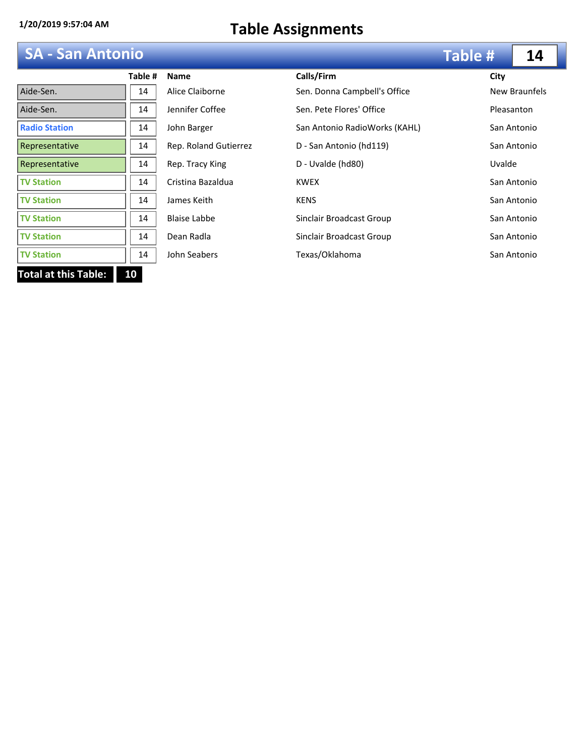## **SA - San Antonio**

|                             | Table # | <b>Name</b>           | Calls/      |
|-----------------------------|---------|-----------------------|-------------|
| Aide-Sen.                   | 14      | Alice Claiborne       | Sen. D      |
| Aide-Sen.                   | 14      | Jennifer Coffee       | Sen. P      |
| <b>Radio Station</b>        | 14      | John Barger           | San A       |
| Representative              | 14      | Rep. Roland Gutierrez | D - Sa      |
| Representative              | 14      | Rep. Tracy King       | D - Uv      |
| <b>TV Station</b>           | 14      | Cristina Bazaldua     | <b>KWEX</b> |
| <b>TV Station</b>           | 14      | James Keith           | <b>KENS</b> |
| <b>TV Station</b>           | 14      | <b>Blaise Labbe</b>   | Sincla      |
| <b>TV Station</b>           | 14      | Dean Radla            | Sincla      |
| <b>TV Station</b>           | 14      | John Seabers          | Texas,      |
| <b>Total at this Table:</b> | 10      |                       |             |

| <b>SA - San Antonio</b> |         |                       |                               | Table #    | 14            |
|-------------------------|---------|-----------------------|-------------------------------|------------|---------------|
|                         | Table # | <b>Name</b>           | Calls/Firm                    | City       |               |
| Aide-Sen.               | 14      | Alice Claiborne       | Sen. Donna Campbell's Office  |            | New Braunfels |
| Aide-Sen.               | 14      | Jennifer Coffee       | Sen. Pete Flores' Office      | Pleasanton |               |
| <b>Radio Station</b>    | 14      | John Barger           | San Antonio RadioWorks (KAHL) |            | San Antonio   |
| Representative          | 14      | Rep. Roland Gutierrez | D - San Antonio (hd119)       |            | San Antonio   |
| Representative          | 14      | Rep. Tracy King       | D - Uvalde (hd80)             | Uvalde     |               |
| <b>TV Station</b>       | 14      | Cristina Bazaldua     | <b>KWEX</b>                   |            | San Antonio   |
| <b>TV Station</b>       | 14      | James Keith           | <b>KENS</b>                   |            | San Antonio   |
| <b>TV Station</b>       | 14      | <b>Blaise Labbe</b>   | Sinclair Broadcast Group      |            | San Antonio   |
| <b>TV Station</b>       | 14      | Dean Radla            | Sinclair Broadcast Group      |            | San Antonio   |
| <b>TV Station</b>       | 14      | John Seabers          | Texas/Oklahoma                |            | San Antonio   |
|                         |         |                       |                               |            |               |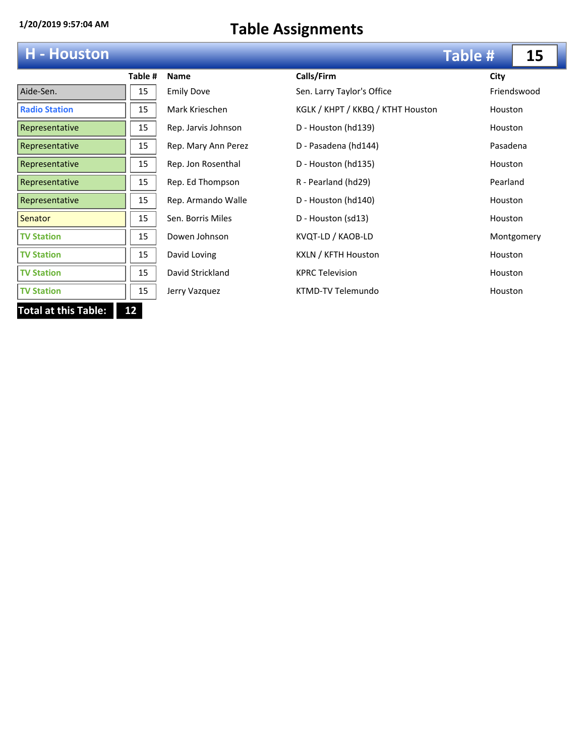# **H - Houston**

|                      | Table # |
|----------------------|---------|
| Aide-Sen.            | 15      |
| <b>Radio Station</b> | 15      |
| Representative       | 15      |
| Representative       | 15      |
| Representative       | 15      |
| Representative       | 15      |
| Representative       | 15      |
| Senator              | 15      |
| <b>TV Station</b>    | 15      |
| <b>TV Station</b>    | 15      |
| <b>TV Station</b>    | 15      |
| <b>TV Station</b>    | 15      |
| otal at this Table:  | 12      |

| <b>H</b> - Houston   |         |                     |                                   | Table #        | 15          |
|----------------------|---------|---------------------|-----------------------------------|----------------|-------------|
|                      | Table # | <b>Name</b>         | Calls/Firm                        | City           |             |
| Aide-Sen.            | 15      | <b>Emily Dove</b>   | Sen. Larry Taylor's Office        |                | Friendswood |
| <b>Radio Station</b> | 15      | Mark Krieschen      | KGLK / KHPT / KKBQ / KTHT Houston | Houston        |             |
| Representative       | 15      | Rep. Jarvis Johnson | D - Houston (hd139)               | <b>Houston</b> |             |
| Representative       | 15      | Rep. Mary Ann Perez | D - Pasadena (hd144)              | Pasadena       |             |
| Representative       | 15      | Rep. Jon Rosenthal  | D - Houston (hd135)               | Houston        |             |
| Representative       | 15      | Rep. Ed Thompson    | R - Pearland (hd29)               | Pearland       |             |
| Representative       | 15      | Rep. Armando Walle  | D - Houston (hd140)               | <b>Houston</b> |             |
| <b>Senator</b>       | 15      | Sen. Borris Miles   | D - Houston (sd13)                | Houston        |             |
| <b>TV Station</b>    | 15      | Dowen Johnson       | KVQT-LD / KAOB-LD                 |                | Montgomery  |
| <b>TV Station</b>    | 15      | David Loving        | KXLN / KFTH Houston               | <b>Houston</b> |             |
| <b>TV Station</b>    | 15      | David Strickland    | <b>KPRC Television</b>            | Houston        |             |
| <b>TV Station</b>    | 15      | Jerry Vazquez       | KTMD-TV Telemundo                 | Houston        |             |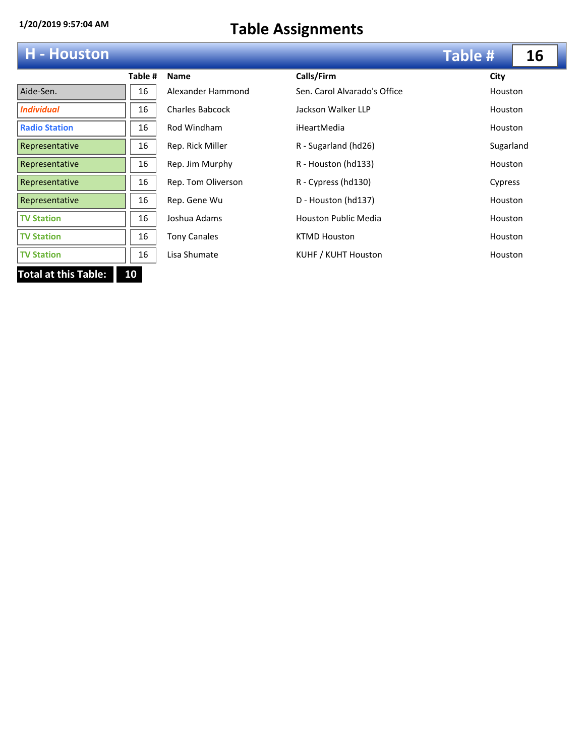# **H - Houston**

|                             | Table # | <b>Name</b>            | Calls/Firm                   | City    |
|-----------------------------|---------|------------------------|------------------------------|---------|
| Aide-Sen.                   | 16      | Alexander Hammond      | Sen. Carol Alvarado's Office | Houstor |
| <b>Individual</b>           | 16      | <b>Charles Babcock</b> | Jackson Walker LLP           | Houstor |
| <b>Radio Station</b>        | 16      | Rod Windham            | iHeartMedia                  | Houstor |
| Representative              | 16      | Rep. Rick Miller       | R - Sugarland (hd26)         | Sugarla |
| Representative              | 16      | Rep. Jim Murphy        | R - Houston (hd133)          | Houstor |
| Representative              | 16      | Rep. Tom Oliverson     | R - Cypress (hd130)          | Cypress |
| Representative              | 16      | Rep. Gene Wu           | D - Houston (hd137)          | Houstor |
| <b>TV Station</b>           | 16      | Joshua Adams           | <b>Houston Public Media</b>  | Houstor |
| <b>TV Station</b>           | 16      | <b>Tony Canales</b>    | <b>KTMD Houston</b>          | Houstor |
| <b>TV Station</b>           | 16      | Lisa Shumate           | KUHF / KUHT Houston          | Houstor |
| <b>Total at this Table:</b> | 10      |                        |                              |         |

| <b>H</b> - Houston   |         |                        |                              | <b>Table #</b> | 16 |
|----------------------|---------|------------------------|------------------------------|----------------|----|
|                      | Table # | <b>Name</b>            | Calls/Firm                   | City           |    |
| Aide-Sen.            | 16      | Alexander Hammond      | Sen. Carol Alvarado's Office | Houston        |    |
| Individual           | 16      | <b>Charles Babcock</b> | Jackson Walker LLP           | Houston        |    |
| <b>Radio Station</b> | 16      | Rod Windham            | iHeartMedia                  | <b>Houston</b> |    |
| Representative       | 16      | Rep. Rick Miller       | R - Sugarland (hd26)         | Sugarland      |    |
| Representative       | 16      | Rep. Jim Murphy        | R - Houston (hd133)          | <b>Houston</b> |    |
| Representative       | 16      | Rep. Tom Oliverson     | R - Cypress (hd130)          | Cypress        |    |
| Representative       | 16      | Rep. Gene Wu           | D - Houston (hd137)          | Houston        |    |
| <b>TV Station</b>    | 16      | Joshua Adams           | <b>Houston Public Media</b>  | Houston        |    |
| <b>TV Station</b>    | 16      | <b>Tony Canales</b>    | <b>KTMD Houston</b>          | Houston        |    |
| <b>TV Station</b>    | 16      | Lisa Shumate           | KUHF / KUHT Houston          | Houston        |    |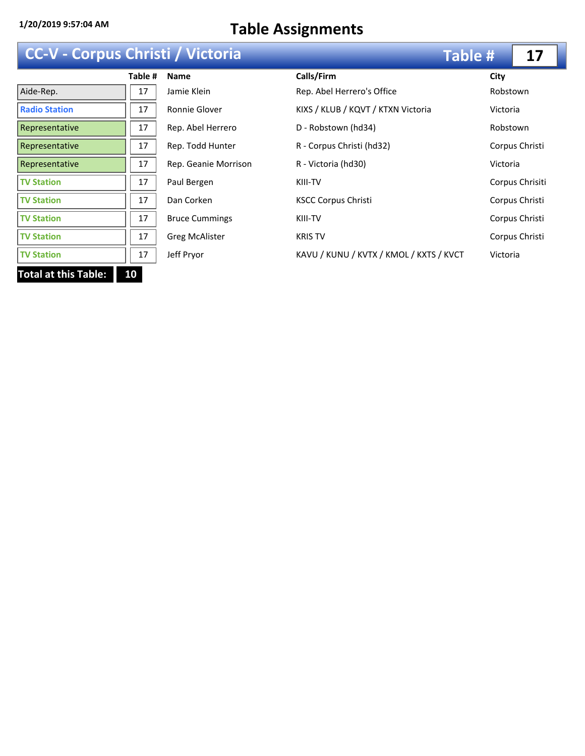### **CC-V - Corpus Christi / Victoria**

| <b>CC-V - Corpus Christi / Victoria</b> |         |                       |                                         | <b>Table #</b> | 17              |
|-----------------------------------------|---------|-----------------------|-----------------------------------------|----------------|-----------------|
|                                         | Table # | <b>Name</b>           | Calls/Firm                              | City           |                 |
| Aide-Rep.                               | 17      | Jamie Klein           | Rep. Abel Herrero's Office              | Robstown       |                 |
| <b>Radio Station</b>                    | 17      | Ronnie Glover         | KIXS / KLUB / KQVT / KTXN Victoria      | Victoria       |                 |
| Representative                          | 17      | Rep. Abel Herrero     | D - Robstown (hd34)                     | Robstown       |                 |
| Representative                          | 17      | Rep. Todd Hunter      | R - Corpus Christi (hd32)               |                | Corpus Christi  |
| Representative                          | 17      | Rep. Geanie Morrison  | R - Victoria (hd30)                     | Victoria       |                 |
| <b>TV Station</b>                       | 17      | Paul Bergen           | KIII-TV                                 |                | Corpus Chrisiti |
| <b>TV Station</b>                       | 17      | Dan Corken            | <b>KSCC Corpus Christi</b>              |                | Corpus Christi  |
| <b>TV Station</b>                       | 17      | <b>Bruce Cummings</b> | KIII-TV                                 |                | Corpus Christi  |
| <b>TV Station</b>                       | 17      | <b>Greg McAlister</b> | <b>KRIS TV</b>                          |                | Corpus Christi  |
| <b>TV Station</b>                       | 17      | Jeff Pryor            | KAVU / KUNU / KVTX / KMOL / KXTS / KVCT | Victoria       |                 |
| <b>Total at this Table:</b>             | 10      |                       |                                         |                |                 |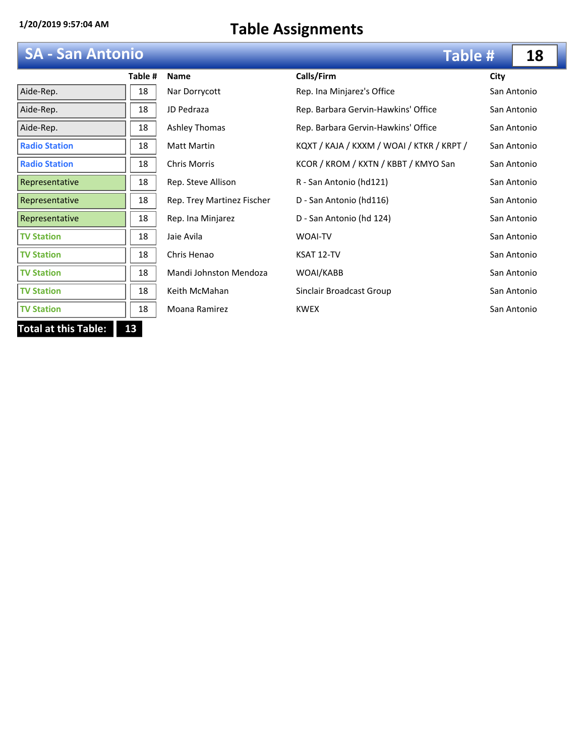## **SA - San Antonio**

|                            | Table # |  |  |
|----------------------------|---------|--|--|
| Aide-Rep.                  | 18      |  |  |
| Aide-Rep.                  | 18      |  |  |
| Aide-Rep.                  | 18      |  |  |
| <b>Radio Station</b>       | 18      |  |  |
| <b>Radio Station</b>       | 18      |  |  |
| Representative             | 18      |  |  |
| Representative             | 18      |  |  |
| Representative             | 18      |  |  |
| <b>TV Station</b>          | 18      |  |  |
| <b>TV Station</b>          | 18      |  |  |
| <b>TV Station</b>          | 18      |  |  |
| <b>TV Station</b>          | 18      |  |  |
| <b>TV Station</b>          | 18      |  |  |
| Total at this Table:<br>13 |         |  |  |

| <b>SA - San Antonio</b> |         |                            | <b>Table #</b>                            |      | 18          |
|-------------------------|---------|----------------------------|-------------------------------------------|------|-------------|
|                         | Table # | <b>Name</b>                | Calls/Firm                                | City |             |
| Aide-Rep.               | 18      | Nar Dorrycott              | Rep. Ina Minjarez's Office                |      | San Antonio |
| Aide-Rep.               | 18      | JD Pedraza                 | Rep. Barbara Gervin-Hawkins' Office       |      | San Antonio |
| Aide-Rep.               | 18      | Ashley Thomas              | Rep. Barbara Gervin-Hawkins' Office       |      | San Antonio |
| <b>Radio Station</b>    | 18      | <b>Matt Martin</b>         | KQXT / KAJA / KXXM / WOAI / KTKR / KRPT / |      | San Antonio |
| <b>Radio Station</b>    | 18      | <b>Chris Morris</b>        | KCOR / KROM / KXTN / KBBT / KMYO San      |      | San Antonio |
| Representative          | 18      | Rep. Steve Allison         | R - San Antonio (hd121)                   |      | San Antonio |
| Representative          | 18      | Rep. Trey Martinez Fischer | D - San Antonio (hd116)                   |      | San Antonio |
| Representative          | 18      | Rep. Ina Minjarez          | D - San Antonio (hd 124)                  |      | San Antonio |
| <b>TV Station</b>       | 18      | Jaie Avila                 | <b>WOAI-TV</b>                            |      | San Antonio |
| <b>TV Station</b>       | 18      | Chris Henao                | KSAT 12-TV                                |      | San Antonio |
| <b>TV Station</b>       | 18      | Mandi Johnston Mendoza     | WOAI/KABB                                 |      | San Antonio |
| <b>TV Station</b>       | 18      | Keith McMahan              | Sinclair Broadcast Group                  |      | San Antonio |
| <b>TV Station</b>       | 18      | Moana Ramirez              | <b>KWEX</b>                               |      | San Antonio |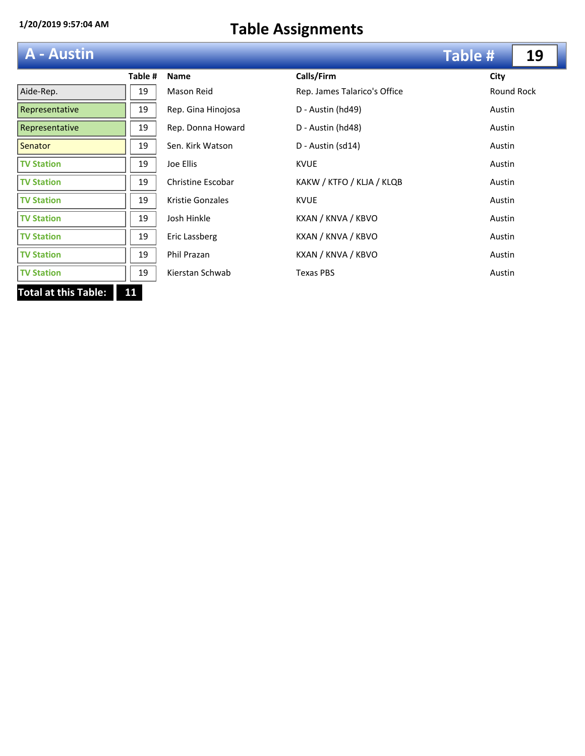# **A - Austin**

|                            | Table # |  |  |
|----------------------------|---------|--|--|
| Aide-Rep.                  | 19      |  |  |
| Representative             | 19      |  |  |
| Representative             | 19      |  |  |
| Senator                    | 19      |  |  |
| <b>TV Station</b>          | 19      |  |  |
| <b>TV Station</b>          | 19      |  |  |
| <b>TV Station</b>          | 19      |  |  |
| <b>TV Station</b>          | 19      |  |  |
| <b>TV Station</b>          | 19      |  |  |
| <b>TV Station</b>          | 19      |  |  |
| <b>TV Station</b>          | 19      |  |  |
| Total at this Table:<br>11 |         |  |  |

| A - Austin        |         |                    |                              | <b>Table #</b> | 19         |
|-------------------|---------|--------------------|------------------------------|----------------|------------|
|                   | Table # | <b>Name</b>        | Calls/Firm                   | City           |            |
| Aide-Rep.         | 19      | Mason Reid         | Rep. James Talarico's Office |                | Round Rock |
| Representative    | 19      | Rep. Gina Hinojosa | D - Austin (hd49)            | Austin         |            |
| Representative    | 19      | Rep. Donna Howard  | D - Austin (hd48)            | Austin         |            |
| <b>Senator</b>    | 19      | Sen. Kirk Watson   | D - Austin (sd14)            | Austin         |            |
| <b>TV Station</b> | 19      | Joe Ellis          | <b>KVUE</b>                  | Austin         |            |
| <b>TV Station</b> | 19      | Christine Escobar  | KAKW / KTFO / KLJA / KLQB    | Austin         |            |
| <b>TV Station</b> | 19      | Kristie Gonzales   | <b>KVUE</b>                  | Austin         |            |
| <b>TV Station</b> | 19      | Josh Hinkle        | KXAN / KNVA / KBVO           | Austin         |            |
| <b>TV Station</b> | 19      | Eric Lassberg      | KXAN / KNVA / KBVO           | Austin         |            |
| <b>TV Station</b> | 19      | Phil Prazan        | KXAN / KNVA / KBVO           | Austin         |            |
| <b>TV Station</b> | 19      | Kierstan Schwab    | <b>Texas PBS</b>             | Austin         |            |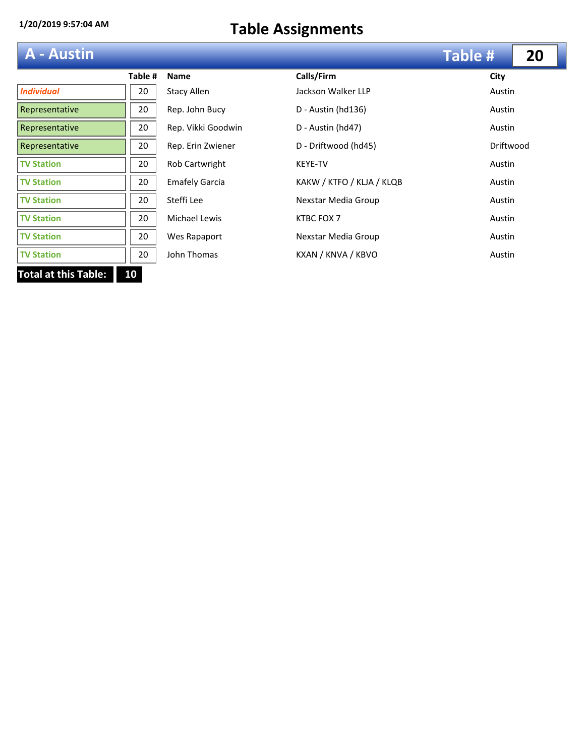| <b>A</b> - Austin |  |  |  |
|-------------------|--|--|--|
|                   |  |  |  |
|                   |  |  |  |

| A - Austin                        |         |                       |                           | <b>Table #</b> | 20 |
|-----------------------------------|---------|-----------------------|---------------------------|----------------|----|
|                                   | Table # | <b>Name</b>           | Calls/Firm                | City           |    |
| <b>Individual</b>                 | 20      | <b>Stacy Allen</b>    | Jackson Walker LLP        | Austin         |    |
| Representative                    | 20      | Rep. John Bucy        | D - Austin (hd136)        | Austin         |    |
| Representative                    | 20      | Rep. Vikki Goodwin    | D - Austin (hd47)         | Austin         |    |
| Representative                    | 20      | Rep. Erin Zwiener     | D - Driftwood (hd45)      | Driftwood      |    |
| <b>TV Station</b>                 | 20      | Rob Cartwright        | <b>KEYE-TV</b>            | Austin         |    |
| <b>TV Station</b>                 | 20      | <b>Emafely Garcia</b> | KAKW / KTFO / KLJA / KLQB | Austin         |    |
| <b>TV Station</b>                 | 20      | Steffi Lee            | Nexstar Media Group       | Austin         |    |
| <b>TV Station</b>                 | 20      | Michael Lewis         | KTBC FOX 7                | Austin         |    |
| <b>TV Station</b>                 | 20      | Wes Rapaport          | Nexstar Media Group       | Austin         |    |
| <b>TV Station</b>                 | 20      | John Thomas           | KXAN / KNVA / KBVO        | Austin         |    |
| <b>Total at this Table:</b><br>10 |         |                       |                           |                |    |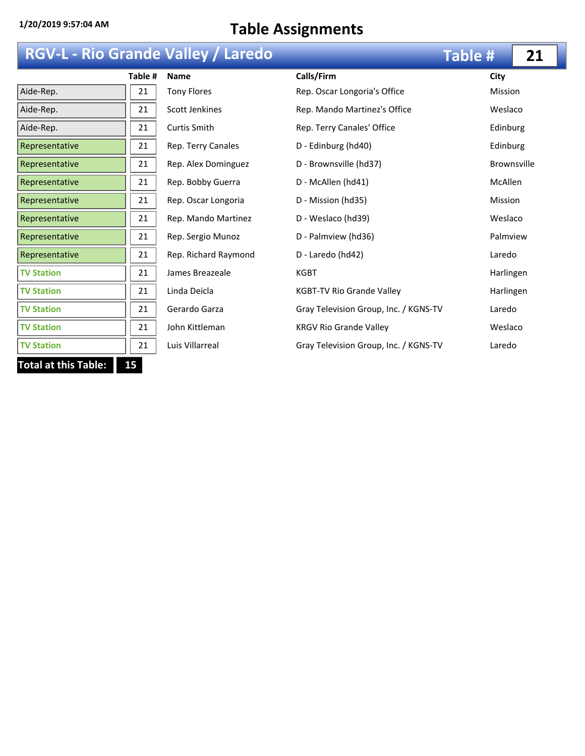## **RGV-L - Rio Grande Valley / Laredo**

| Table #                           | <b>Name</b>        |  |  |  |  |
|-----------------------------------|--------------------|--|--|--|--|
| 21                                | <b>Tony Flores</b> |  |  |  |  |
| 21                                | Scott Jenkines     |  |  |  |  |
| 21                                | Curtis Smith       |  |  |  |  |
| 21                                | Rep. Terry Canal   |  |  |  |  |
| 21                                | Rep. Alex Domin    |  |  |  |  |
| 21                                | Rep. Bobby Guer    |  |  |  |  |
| 21                                | Rep. Oscar Long    |  |  |  |  |
| 21                                | Rep. Mando Mar     |  |  |  |  |
| 21                                | Rep. Sergio Mun    |  |  |  |  |
| 21                                | Rep. Richard Ray   |  |  |  |  |
| 21                                | James Breazeale    |  |  |  |  |
| 21                                | Linda Deicla       |  |  |  |  |
| 21                                | Gerardo Garza      |  |  |  |  |
| 21                                | John Kittleman     |  |  |  |  |
| 21                                | Luis Villarreal    |  |  |  |  |
| 15<br><b>Total at this Table:</b> |                    |  |  |  |  |
|                                   |                    |  |  |  |  |

|                   |         | <b>RGV-L - Rio Grande Valley / Laredo</b> |                                       | <b>Table #</b> | 21                 |
|-------------------|---------|-------------------------------------------|---------------------------------------|----------------|--------------------|
|                   | Table # | <b>Name</b>                               | Calls/Firm                            | City           |                    |
| Aide-Rep.         | 21      | <b>Tony Flores</b>                        | Rep. Oscar Longoria's Office          | <b>Mission</b> |                    |
| Aide-Rep.         | 21      | <b>Scott Jenkines</b>                     | Rep. Mando Martinez's Office          | Weslaco        |                    |
| Aide-Rep.         | 21      | Curtis Smith                              | Rep. Terry Canales' Office            | Edinburg       |                    |
| Representative    | 21      | Rep. Terry Canales                        | D - Edinburg (hd40)                   | Edinburg       |                    |
| Representative    | 21      | Rep. Alex Dominguez                       | D - Brownsville (hd37)                |                | <b>Brownsville</b> |
| Representative    | 21      | Rep. Bobby Guerra                         | D - McAllen (hd41)                    | <b>McAllen</b> |                    |
| Representative    | 21      | Rep. Oscar Longoria                       | D - Mission (hd35)                    | <b>Mission</b> |                    |
| Representative    | 21      | Rep. Mando Martinez                       | D - Weslaco (hd39)                    | Weslaco        |                    |
| Representative    | 21      | Rep. Sergio Munoz                         | D - Palmview (hd36)                   | Palmview       |                    |
| Representative    | 21      | Rep. Richard Raymond                      | D - Laredo (hd42)                     | Laredo         |                    |
| <b>TV Station</b> | 21      | James Breazeale                           | <b>KGBT</b>                           | Harlingen      |                    |
| <b>TV Station</b> | 21      | Linda Deicla                              | KGBT-TV Rio Grande Valley             | Harlingen      |                    |
| <b>TV Station</b> | 21      | Gerardo Garza                             | Gray Television Group, Inc. / KGNS-TV | Laredo         |                    |
| <b>TV Station</b> | 21      | John Kittleman                            | <b>KRGV Rio Grande Valley</b>         | Weslaco        |                    |
| <b>TV Station</b> | 21      | Luis Villarreal                           | Gray Television Group, Inc. / KGNS-TV | Laredo         |                    |
|                   |         |                                           |                                       |                |                    |